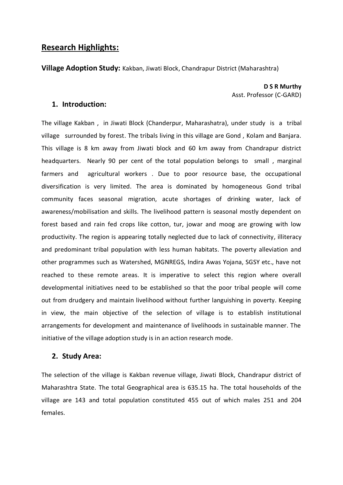# **Research Highlights:**

**Village Adoption Study:** Kakban, Jiwati Block, Chandrapur District (Maharashtra)

**D S R Murthy** Asst. Professor (C-GARD)

## **1. Introduction:**

The village Kakban , in Jiwati Block (Chanderpur, Maharashatra), under study is a tribal village surrounded by forest. The tribals living in this village are Gond , Kolam and Banjara. This village is 8 km away from Jiwati block and 60 km away from Chandrapur district headquarters. Nearly 90 per cent of the total population belongs to small , marginal farmers and agricultural workers . Due to poor resource base, the occupational diversification is very limited. The area is dominated by homogeneous Gond tribal community faces seasonal migration, acute shortages of drinking water, lack of awareness/mobilisation and skills. The livelihood pattern is seasonal mostly dependent on forest based and rain fed crops like cotton, tur, jowar and moog are growing with low productivity. The region is appearing totally neglected due to lack of connectivity, illiteracy and predominant tribal population with less human habitats. The poverty alleviation and other programmes such as Watershed, MGNREGS, Indira Awas Yojana, SGSY etc., have not reached to these remote areas. It is imperative to select this region where overall developmental initiatives need to be established so that the poor tribal people will come out from drudgery and maintain livelihood without further languishing in poverty. Keeping in view, the main objective of the selection of village is to establish institutional arrangements for development and maintenance of livelihoods in sustainable manner. The initiative of the village adoption study is in an action research mode.

#### **2. Study Area:**

The selection of the village is Kakban revenue village, Jiwati Block, Chandrapur district of Maharashtra State. The total Geographical area is 635.15 ha. The total households of the village are 143 and total population constituted 455 out of which males 251 and 204 females.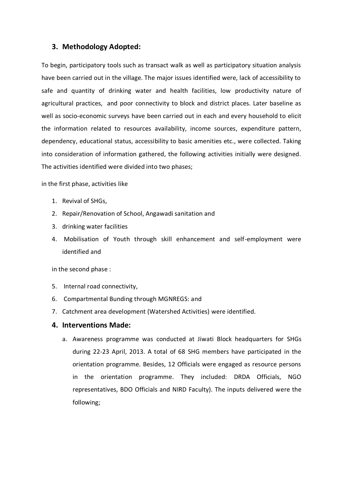## **3. Methodology Adopted:**

To begin, participatory tools such as transact walk as well as participatory situation analysis have been carried out in the village. The major issues identified were, lack of accessibility to safe and quantity of drinking water and health facilities, low productivity nature of agricultural practices, and poor connectivity to block and district places. Later baseline as well as socio-economic surveys have been carried out in each and every household to elicit the information related to resources availability, income sources, expenditure pattern, dependency, educational status, accessibility to basic amenities etc., were collected. Taking into consideration of information gathered, the following activities initially were designed. The activities identified were divided into two phases;

in the first phase, activities like

- 1. Revival of SHGs,
- 2. Repair/Renovation of School, Angawadi sanitation and
- 3. drinking water facilities
- 4. Mobilisation of Youth through skill enhancement and self-employment were identified and

in the second phase :

- 5. Internal road connectivity,
- 6. Compartmental Bunding through MGNREGS: and
- 7. Catchment area development (Watershed Activities) were identified.

#### **4. Interventions Made:**

a. Awareness programme was conducted at Jiwati Block headquarters for SHGs during 22-23 April, 2013. A total of 68 SHG members have participated in the orientation programme. Besides, 12 Officials were engaged as resource persons in the orientation programme. They included: DRDA Officials, NGO representatives, BDO Officials and NIRD Faculty). The inputs delivered were the following;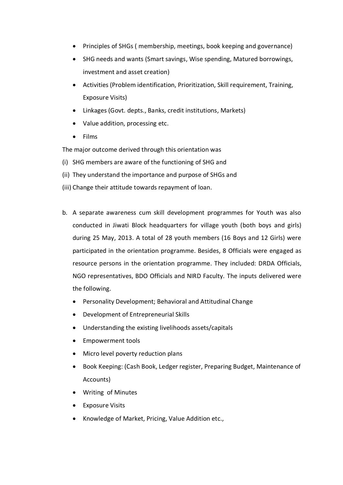- Principles of SHGs ( membership, meetings, book keeping and governance)
- SHG needs and wants (Smart savings, Wise spending, Matured borrowings, investment and asset creation)
- Activities (Problem identification, Prioritization, Skill requirement, Training, Exposure Visits)
- Linkages (Govt. depts., Banks, credit institutions, Markets)
- Value addition, processing etc.
- Films

The major outcome derived through this orientation was

- (i) SHG members are aware of the functioning of SHG and
- (ii) They understand the importance and purpose of SHGs and
- (iii) Change their attitude towards repayment of loan.
- b. A separate awareness cum skill development programmes for Youth was also conducted in Jiwati Block headquarters for village youth (both boys and girls) during 25 May, 2013. A total of 28 youth members (16 Boys and 12 Girls) were participated in the orientation programme. Besides, 8 Officials were engaged as resource persons in the orientation programme. They included: DRDA Officials, NGO representatives, BDO Officials and NIRD Faculty. The inputs delivered were the following.
	- Personality Development; Behavioral and Attitudinal Change
	- Development of Entrepreneurial Skills
	- Understanding the existing livelihoods assets/capitals
	- Empowerment tools
	- Micro level poverty reduction plans
	- Book Keeping: (Cash Book, Ledger register, Preparing Budget, Maintenance of Accounts)
	- Writing of Minutes
	- Exposure Visits
	- Knowledge of Market, Pricing, Value Addition etc.,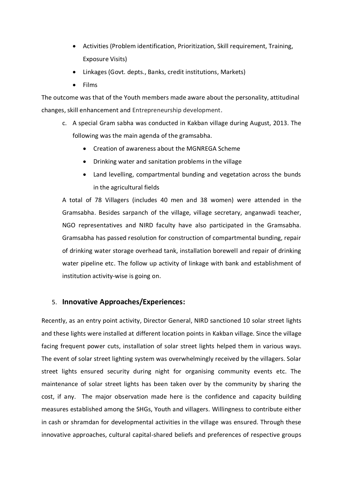- Activities (Problem identification, Prioritization, Skill requirement, Training, Exposure Visits)
- Linkages (Govt. depts., Banks, credit institutions, Markets)
- Films

The outcome was that of the Youth members made aware about the personality, attitudinal changes, skill enhancement and Entrepreneurship development.

- c. A special Gram sabha was conducted in Kakban village during August, 2013. The following was the main agenda of the gramsabha.
	- Creation of awareness about the MGNREGA Scheme
	- Drinking water and sanitation problems in the village
	- Land levelling, compartmental bunding and vegetation across the bunds in the agricultural fields

A total of 78 Villagers (includes 40 men and 38 women) were attended in the Gramsabha. Besides sarpanch of the village, village secretary, anganwadi teacher, NGO representatives and NIRD faculty have also participated in the Gramsabha. Gramsabha has passed resolution for construction of compartmental bunding, repair of drinking water storage overhead tank, installation borewell and repair of drinking water pipeline etc. The follow up activity of linkage with bank and establishment of institution activity-wise is going on.

# 5. **Innovative Approaches/Experiences:**

Recently, as an entry point activity, Director General, NIRD sanctioned 10 solar street lights and these lights were installed at different location points in Kakban village. Since the village facing frequent power cuts, installation of solar street lights helped them in various ways. The event of solar street lighting system was overwhelmingly received by the villagers. Solar street lights ensured security during night for organising community events etc. The maintenance of solar street lights has been taken over by the community by sharing the cost, if any. The major observation made here is the confidence and capacity building measures established among the SHGs, Youth and villagers. Willingness to contribute either in cash or shramdan for developmental activities in the village was ensured. Through these innovative approaches, cultural capital-shared beliefs and preferences of respective groups